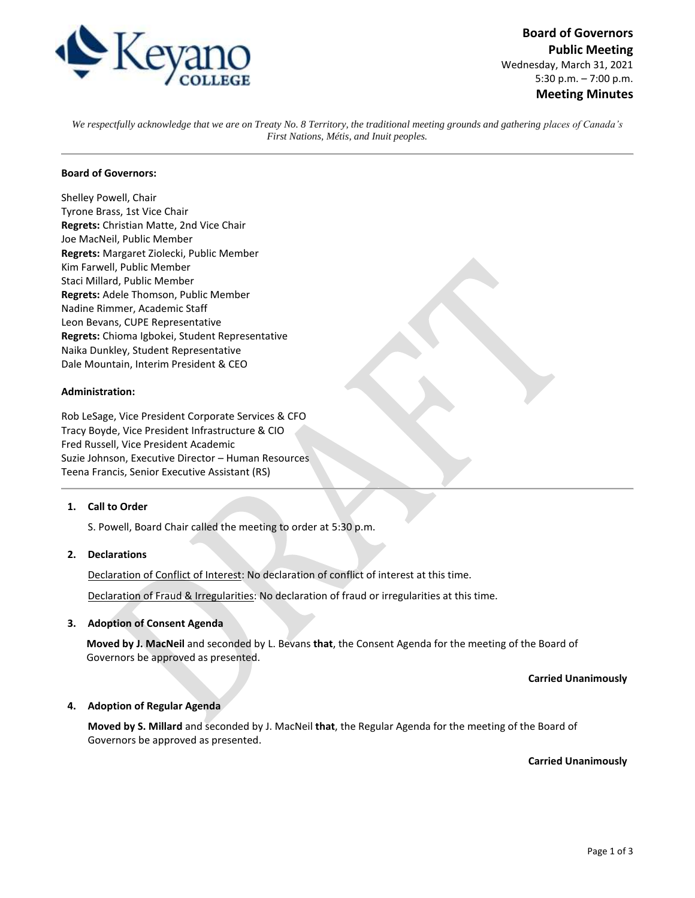

**Board of Governors Public Meeting** Wednesday, March 31, 2021 5:30 p.m. – 7:00 p.m. **Meeting Minutes**

*We respectfully acknowledge that we are on Treaty No. 8 Territory, the traditional meeting grounds and gathering places of Canada's First Nations, Métis, and Inuit peoples.*

### **Board of Governors:**

Shelley Powell, Chair Tyrone Brass, 1st Vice Chair **Regrets:** Christian Matte, 2nd Vice Chair Joe MacNeil, Public Member **Regrets:** Margaret Ziolecki, Public Member Kim Farwell, Public Member Staci Millard, Public Member **Regrets:** Adele Thomson, Public Member Nadine Rimmer, Academic Staff Leon Bevans, CUPE Representative **Regrets:** Chioma Igbokei, Student Representative Naika Dunkley, Student Representative Dale Mountain, Interim President & CEO

#### **Administration:**

Rob LeSage, Vice President Corporate Services & CFO Tracy Boyde, Vice President Infrastructure & CIO Fred Russell, Vice President Academic Suzie Johnson, Executive Director – Human Resources Teena Francis, Senior Executive Assistant (RS)

## **1. Call to Order**

S. Powell, Board Chair called the meeting to order at 5:30 p.m.

## **2. Declarations**

Declaration of Conflict of Interest: No declaration of conflict of interest at this time.

Declaration of Fraud & Irregularities: No declaration of fraud or irregularities at this time.

# **3. Adoption of Consent Agenda**

**Moved by J. MacNeil** and seconded by L. Bevans **that**, the Consent Agenda for the meeting of the Board of Governors be approved as presented.

**Carried Unanimously**

### **4. Adoption of Regular Agenda**

**Moved by S. Millard** and seconded by J. MacNeil **that**, the Regular Agenda for the meeting of the Board of Governors be approved as presented.

**Carried Unanimously**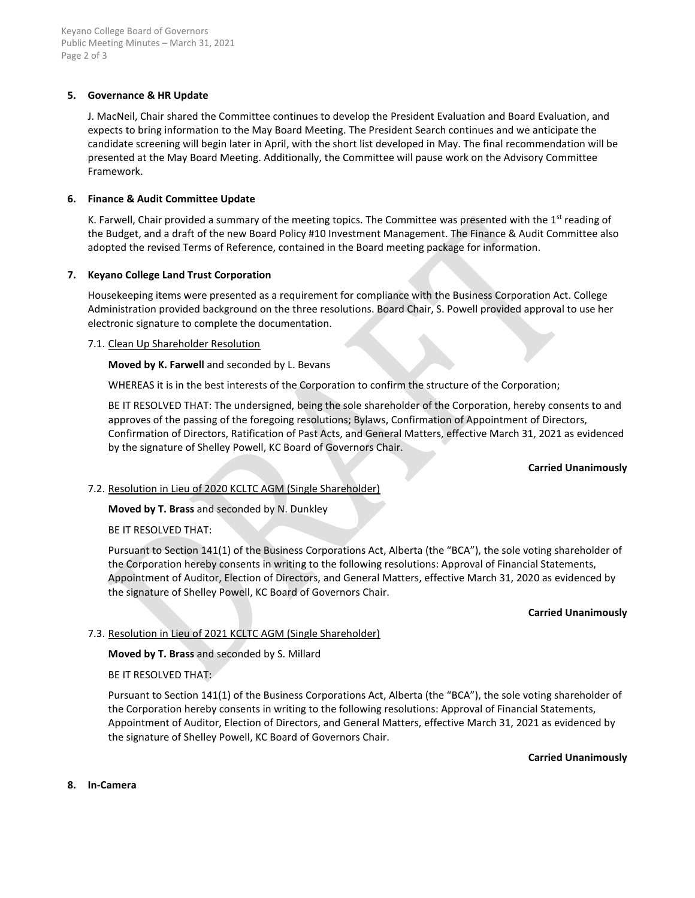# **5. Governance & HR Update**

J. MacNeil, Chair shared the Committee continues to develop the President Evaluation and Board Evaluation, and expects to bring information to the May Board Meeting. The President Search continues and we anticipate the candidate screening will begin later in April, with the short list developed in May. The final recommendation will be presented at the May Board Meeting. Additionally, the Committee will pause work on the Advisory Committee Framework.

## **6. Finance & Audit Committee Update**

K. Farwell, Chair provided a summary of the meeting topics. The Committee was presented with the  $1<sup>st</sup>$  reading of the Budget, and a draft of the new Board Policy #10 Investment Management. The Finance & Audit Committee also adopted the revised Terms of Reference, contained in the Board meeting package for information.

## **7. Keyano College Land Trust Corporation**

Housekeeping items were presented as a requirement for compliance with the Business Corporation Act. College Administration provided background on the three resolutions. Board Chair, S. Powell provided approval to use her electronic signature to complete the documentation.

### 7.1. Clean Up Shareholder Resolution

**Moved by K. Farwell** and seconded by L. Bevans

WHEREAS it is in the best interests of the Corporation to confirm the structure of the Corporation;

BE IT RESOLVED THAT: The undersigned, being the sole shareholder of the Corporation, hereby consents to and approves of the passing of the foregoing resolutions; Bylaws, Confirmation of Appointment of Directors, Confirmation of Directors, Ratification of Past Acts, and General Matters, effective March 31, 2021 as evidenced by the signature of Shelley Powell, KC Board of Governors Chair.

### **Carried Unanimously**

# 7.2. Resolution in Lieu of 2020 KCLTC AGM (Single Shareholder)

**Moved by T. Brass** and seconded by N. Dunkley

BE IT RESOLVED THAT:

Pursuant to Section 141(1) of the Business Corporations Act, Alberta (the "BCA"), the sole voting shareholder of the Corporation hereby consents in writing to the following resolutions: Approval of Financial Statements, Appointment of Auditor, Election of Directors, and General Matters, effective March 31, 2020 as evidenced by the signature of Shelley Powell, KC Board of Governors Chair.

### **Carried Unanimously**

# 7.3. Resolution in Lieu of 2021 KCLTC AGM (Single Shareholder)

**Moved by T. Brass** and seconded by S. Millard

### BE IT RESOLVED THAT:

Pursuant to Section 141(1) of the Business Corporations Act, Alberta (the "BCA"), the sole voting shareholder of the Corporation hereby consents in writing to the following resolutions: Approval of Financial Statements, Appointment of Auditor, Election of Directors, and General Matters, effective March 31, 2021 as evidenced by the signature of Shelley Powell, KC Board of Governors Chair.

**Carried Unanimously**

**8. In-Camera**